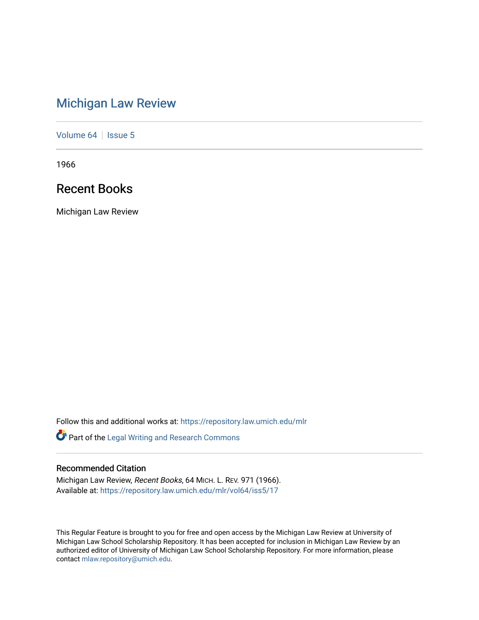# [Michigan Law Review](https://repository.law.umich.edu/mlr)

[Volume 64](https://repository.law.umich.edu/mlr/vol64) | [Issue 5](https://repository.law.umich.edu/mlr/vol64/iss5)

1966

## Recent Books

Michigan Law Review

Follow this and additional works at: [https://repository.law.umich.edu/mlr](https://repository.law.umich.edu/mlr?utm_source=repository.law.umich.edu%2Fmlr%2Fvol64%2Fiss5%2F17&utm_medium=PDF&utm_campaign=PDFCoverPages) 

Part of the [Legal Writing and Research Commons](http://network.bepress.com/hgg/discipline/614?utm_source=repository.law.umich.edu%2Fmlr%2Fvol64%2Fiss5%2F17&utm_medium=PDF&utm_campaign=PDFCoverPages) 

### Recommended Citation

Michigan Law Review, Recent Books, 64 MICH. L. REV. 971 (1966). Available at: [https://repository.law.umich.edu/mlr/vol64/iss5/17](https://repository.law.umich.edu/mlr/vol64/iss5/17?utm_source=repository.law.umich.edu%2Fmlr%2Fvol64%2Fiss5%2F17&utm_medium=PDF&utm_campaign=PDFCoverPages) 

This Regular Feature is brought to you for free and open access by the Michigan Law Review at University of Michigan Law School Scholarship Repository. It has been accepted for inclusion in Michigan Law Review by an authorized editor of University of Michigan Law School Scholarship Repository. For more information, please contact [mlaw.repository@umich.edu](mailto:mlaw.repository@umich.edu).